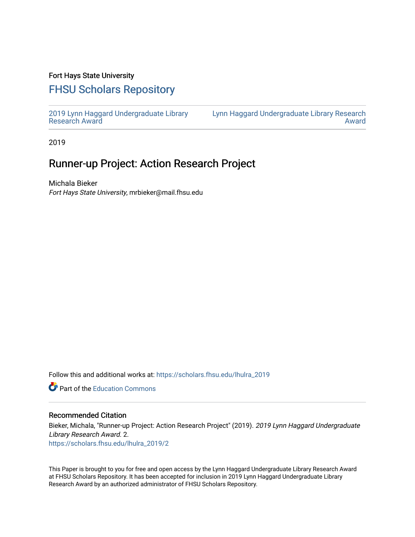### Fort Hays State University

# [FHSU Scholars Repository](https://scholars.fhsu.edu/)

[2019 Lynn Haggard Undergraduate Library](https://scholars.fhsu.edu/lhulra_2019)  [Research Award](https://scholars.fhsu.edu/lhulra_2019)

[Lynn Haggard Undergraduate Library Research](https://scholars.fhsu.edu/lhulra)  [Award](https://scholars.fhsu.edu/lhulra) 

2019

## Runner-up Project: Action Research Project

Michala Bieker Fort Hays State University, mrbieker@mail.fhsu.edu

Follow this and additional works at: [https://scholars.fhsu.edu/lhulra\\_2019](https://scholars.fhsu.edu/lhulra_2019?utm_source=scholars.fhsu.edu%2Flhulra_2019%2F2&utm_medium=PDF&utm_campaign=PDFCoverPages)

**C** Part of the [Education Commons](http://network.bepress.com/hgg/discipline/784?utm_source=scholars.fhsu.edu%2Flhulra_2019%2F2&utm_medium=PDF&utm_campaign=PDFCoverPages)

#### Recommended Citation

Bieker, Michala, "Runner-up Project: Action Research Project" (2019). 2019 Lynn Haggard Undergraduate Library Research Award. 2. [https://scholars.fhsu.edu/lhulra\\_2019/2](https://scholars.fhsu.edu/lhulra_2019/2?utm_source=scholars.fhsu.edu%2Flhulra_2019%2F2&utm_medium=PDF&utm_campaign=PDFCoverPages)

This Paper is brought to you for free and open access by the Lynn Haggard Undergraduate Library Research Award at FHSU Scholars Repository. It has been accepted for inclusion in 2019 Lynn Haggard Undergraduate Library Research Award by an authorized administrator of FHSU Scholars Repository.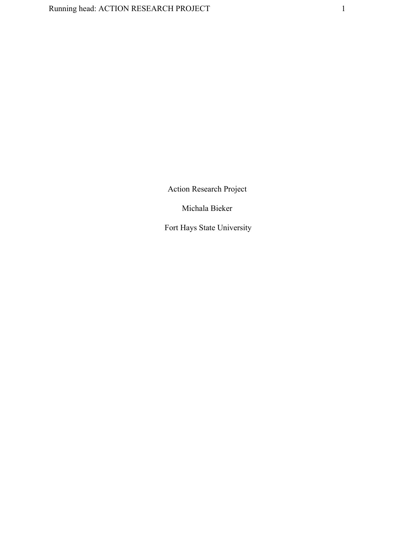Action Research Project

Michala Bieker

Fort Hays State University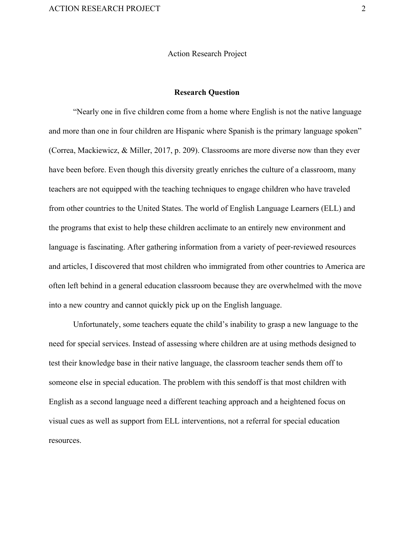#### Action Research Project

#### **Research Question**

"Nearly one in five children come from a home where English is not the native language and more than one in four children are Hispanic where Spanish is the primary language spoken" (Correa, Mackiewicz, & Miller, 2017, p. 209). Classrooms are more diverse now than they ever have been before. Even though this diversity greatly enriches the culture of a classroom, many teachers are not equipped with the teaching techniques to engage children who have traveled from other countries to the United States. The world of English Language Learners (ELL) and the programs that exist to help these children acclimate to an entirely new environment and language is fascinating. After gathering information from a variety of peer-reviewed resources and articles, I discovered that most children who immigrated from other countries to America are often left behind in a general education classroom because they are overwhelmed with the move into a new country and cannot quickly pick up on the English language.

Unfortunately, some teachers equate the child's inability to grasp a new language to the need for special services. Instead of assessing where children are at using methods designed to test their knowledge base in their native language, the classroom teacher sends them off to someone else in special education. The problem with this sendoff is that most children with English as a second language need a different teaching approach and a heightened focus on visual cues as well as support from ELL interventions, not a referral for special education resources.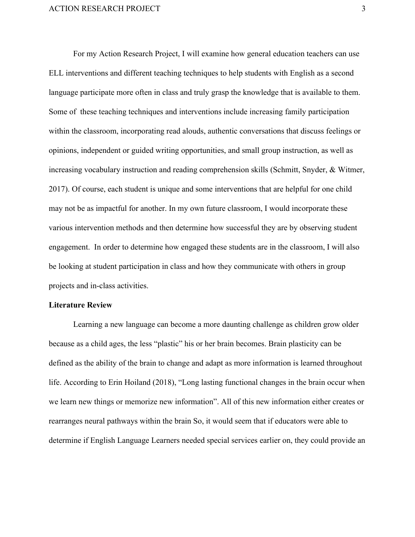For my Action Research Project, I will examine how general education teachers can use ELL interventions and different teaching techniques to help students with English as a second language participate more often in class and truly grasp the knowledge that is available to them. Some of these teaching techniques and interventions include increasing family participation within the classroom, incorporating read alouds, authentic conversations that discuss feelings or opinions, independent or guided writing opportunities, and small group instruction, as well as increasing vocabulary instruction and reading comprehension skills (Schmitt, Snyder, & Witmer, 2017). Of course, each student is unique and some interventions that are helpful for one child may not be as impactful for another. In my own future classroom, I would incorporate these various intervention methods and then determine how successful they are by observing student engagement. In order to determine how engaged these students are in the classroom, I will also be looking at student participation in class and how they communicate with others in group projects and in-class activities.

#### **Literature Review**

Learning a new language can become a more daunting challenge as children grow older because as a child ages, the less "plastic" his or her brain becomes. Brain plasticity can be defined as the ability of the brain to change and adapt as more information is learned throughout life. According to Erin Hoiland (2018), "Long lasting functional changes in the brain occur when we learn new things or memorize new information". All of this new information either creates or rearranges neural pathways within the brain So, it would seem that if educators were able to determine if English Language Learners needed special services earlier on, they could provide an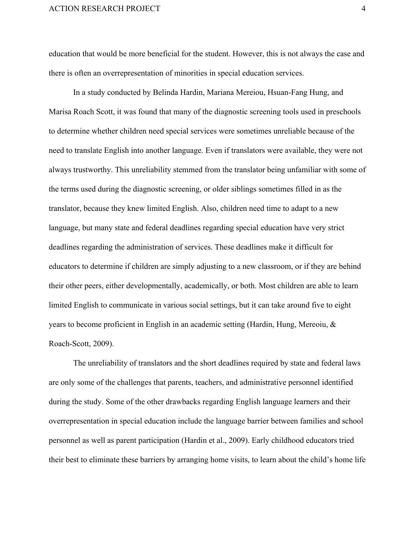education that would be more beneficial for the student. However, this is not always the case and there is often an overrepresentation of minorities in special education services.

In a study conducted by Belinda Hardin, Mariana Mereiou, Hsuan-Fang Hung, and Marisa Roach Scott, it was found that many of the diagnostic screening tools used in preschools to determine whether children need special services were sometimes unreliable because of the need to translate English into another language. Even if translators were available, they were not always trustworthy. This unreliability stemmed from the translator being unfamiliar with some of the terms used during the diagnostic screening, or older siblings sometimes filled in as the translator, because they knew limited English. Also, children need time to adapt to a new language, but many state and federal deadlines regarding special education have very strict deadlines regarding the administration of services. These deadlines make it difficult for educators to determine if children are simply adjusting to a new classroom, or if they are behind their other peers, either developmentally, academically, or both. Most children are able to learn limited English to communicate in various social settings, but it can take around five to eight years to become proficient in English in an academic setting (Hardin, Hung, Mereoiu, & Roach-Scott, 2009).

The unreliability of translators and the short deadlines required by state and federal laws are only some of the challenges that parents, teachers, and administrative personnel identified during the study. Some of the other drawbacks regarding English language learners and their overrepresentation in special education include the language barrier between families and school personnel as well as parent participation (Hardin et al., 2009). Early childhood educators tried their best to eliminate these barriers by arranging home visits, to learn about the child's home life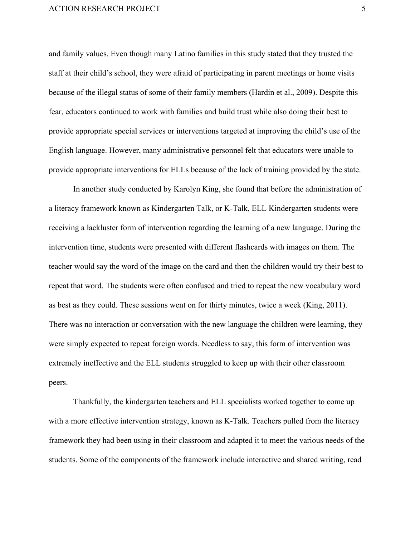and family values. Even though many Latino families in this study stated that they trusted the staff at their child's school, they were afraid of participating in parent meetings or home visits because of the illegal status of some of their family members (Hardin et al., 2009). Despite this fear, educators continued to work with families and build trust while also doing their best to provide appropriate special services or interventions targeted at improving the child's use of the English language. However, many administrative personnel felt that educators were unable to provide appropriate interventions for ELLs because of the lack of training provided by the state.

In another study conducted by Karolyn King, she found that before the administration of a literacy framework known as Kindergarten Talk, or K-Talk, ELL Kindergarten students were receiving a lackluster form of intervention regarding the learning of a new language. During the intervention time, students were presented with different flashcards with images on them. The teacher would say the word of the image on the card and then the children would try their best to repeat that word. The students were often confused and tried to repeat the new vocabulary word as best as they could. These sessions went on for thirty minutes, twice a week (King, 2011). There was no interaction or conversation with the new language the children were learning, they were simply expected to repeat foreign words. Needless to say, this form of intervention was extremely ineffective and the ELL students struggled to keep up with their other classroom peers.

Thankfully, the kindergarten teachers and ELL specialists worked together to come up with a more effective intervention strategy, known as K-Talk. Teachers pulled from the literacy framework they had been using in their classroom and adapted it to meet the various needs of the students. Some of the components of the framework include interactive and shared writing, read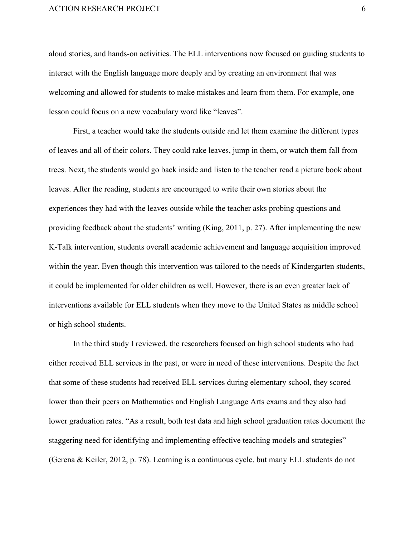aloud stories, and hands-on activities. The ELL interventions now focused on guiding students to interact with the English language more deeply and by creating an environment that was welcoming and allowed for students to make mistakes and learn from them. For example, one lesson could focus on a new vocabulary word like "leaves".

First, a teacher would take the students outside and let them examine the different types of leaves and all of their colors. They could rake leaves, jump in them, or watch them fall from trees. Next, the students would go back inside and listen to the teacher read a picture book about leaves. After the reading, students are encouraged to write their own stories about the experiences they had with the leaves outside while the teacher asks probing questions and providing feedback about the students' writing (King, 2011, p. 27). After implementing the new K-Talk intervention, students overall academic achievement and language acquisition improved within the year. Even though this intervention was tailored to the needs of Kindergarten students, it could be implemented for older children as well. However, there is an even greater lack of interventions available for ELL students when they move to the United States as middle school or high school students.

In the third study I reviewed, the researchers focused on high school students who had either received ELL services in the past, or were in need of these interventions. Despite the fact that some of these students had received ELL services during elementary school, they scored lower than their peers on Mathematics and English Language Arts exams and they also had lower graduation rates. "As a result, both test data and high school graduation rates document the staggering need for identifying and implementing effective teaching models and strategies" (Gerena & Keiler, 2012, p. 78). Learning is a continuous cycle, but many ELL students do not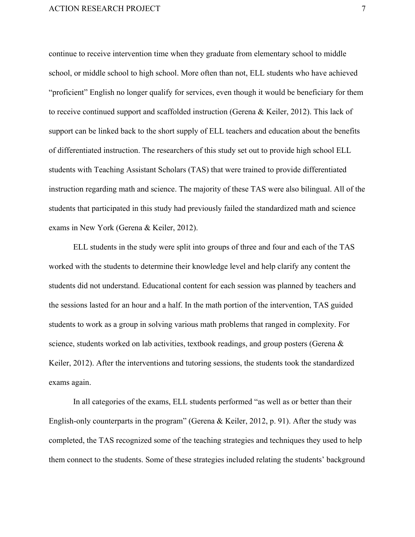continue to receive intervention time when they graduate from elementary school to middle school, or middle school to high school. More often than not, ELL students who have achieved "proficient" English no longer qualify for services, even though it would be beneficiary for them to receive continued support and scaffolded instruction (Gerena & Keiler, 2012). This lack of support can be linked back to the short supply of ELL teachers and education about the benefits of differentiated instruction. The researchers of this study set out to provide high school ELL students with Teaching Assistant Scholars (TAS) that were trained to provide differentiated instruction regarding math and science. The majority of these TAS were also bilingual. All of the students that participated in this study had previously failed the standardized math and science exams in New York (Gerena & Keiler, 2012).

ELL students in the study were split into groups of three and four and each of the TAS worked with the students to determine their knowledge level and help clarify any content the students did not understand. Educational content for each session was planned by teachers and the sessions lasted for an hour and a half. In the math portion of the intervention, TAS guided students to work as a group in solving various math problems that ranged in complexity. For science, students worked on lab activities, textbook readings, and group posters (Gerena & Keiler, 2012). After the interventions and tutoring sessions, the students took the standardized exams again.

In all categories of the exams, ELL students performed "as well as or better than their English-only counterparts in the program" (Gerena & Keiler, 2012, p. 91). After the study was completed, the TAS recognized some of the teaching strategies and techniques they used to help them connect to the students. Some of these strategies included relating the students' background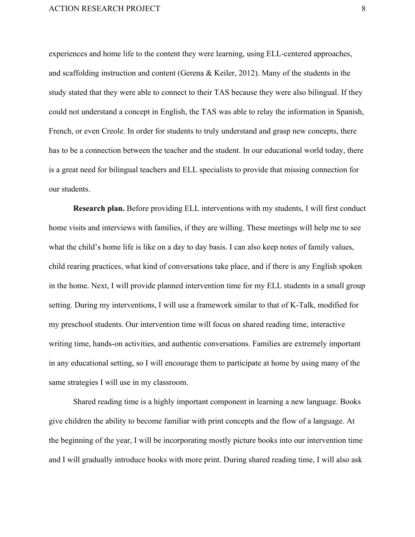experiences and home life to the content they were learning, using ELL-centered approaches, and scaffolding instruction and content (Gerena & Keiler, 2012). Many of the students in the study stated that they were able to connect to their TAS because they were also bilingual. If they could not understand a concept in English, the TAS was able to relay the information in Spanish, French, or even Creole. In order for students to truly understand and grasp new concepts, there has to be a connection between the teacher and the student. In our educational world today, there is a great need for bilingual teachers and ELL specialists to provide that missing connection for our students.

**Research plan.** Before providing ELL interventions with my students, I will first conduct home visits and interviews with families, if they are willing. These meetings will help me to see what the child's home life is like on a day to day basis. I can also keep notes of family values, child rearing practices, what kind of conversations take place, and if there is any English spoken in the home. Next, I will provide planned intervention time for my ELL students in a small group setting. During my interventions, I will use a framework similar to that of K-Talk, modified for my preschool students. Our intervention time will focus on shared reading time, interactive writing time, hands-on activities, and authentic conversations. Families are extremely important in any educational setting, so I will encourage them to participate at home by using many of the same strategies I will use in my classroom.

Shared reading time is a highly important component in learning a new language. Books give children the ability to become familiar with print concepts and the flow of a language. At the beginning of the year, I will be incorporating mostly picture books into our intervention time and I will gradually introduce books with more print. During shared reading time, I will also ask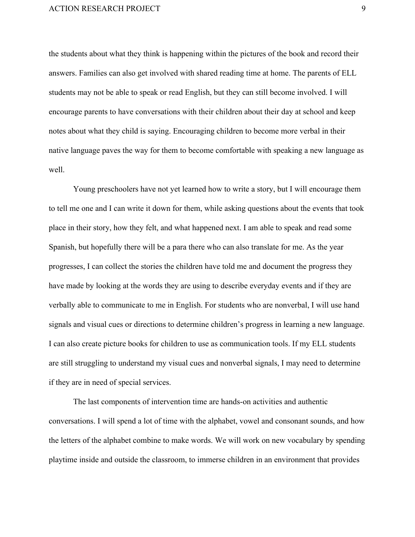the students about what they think is happening within the pictures of the book and record their answers. Families can also get involved with shared reading time at home. The parents of ELL students may not be able to speak or read English, but they can still become involved. I will encourage parents to have conversations with their children about their day at school and keep notes about what they child is saying. Encouraging children to become more verbal in their native language paves the way for them to become comfortable with speaking a new language as well.

Young preschoolers have not yet learned how to write a story, but I will encourage them to tell me one and I can write it down for them, while asking questions about the events that took place in their story, how they felt, and what happened next. I am able to speak and read some Spanish, but hopefully there will be a para there who can also translate for me. As the year progresses, I can collect the stories the children have told me and document the progress they have made by looking at the words they are using to describe everyday events and if they are verbally able to communicate to me in English. For students who are nonverbal, I will use hand signals and visual cues or directions to determine children's progress in learning a new language. I can also create picture books for children to use as communication tools. If my ELL students are still struggling to understand my visual cues and nonverbal signals, I may need to determine if they are in need of special services.

The last components of intervention time are hands-on activities and authentic conversations. I will spend a lot of time with the alphabet, vowel and consonant sounds, and how the letters of the alphabet combine to make words. We will work on new vocabulary by spending playtime inside and outside the classroom, to immerse children in an environment that provides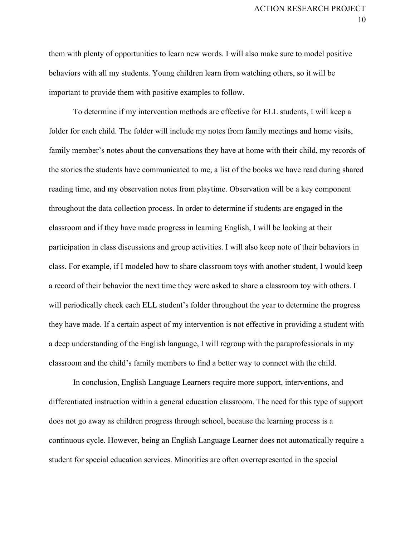them with plenty of opportunities to learn new words. I will also make sure to model positive behaviors with all my students. Young children learn from watching others, so it will be important to provide them with positive examples to follow.

To determine if my intervention methods are effective for ELL students, I will keep a folder for each child. The folder will include my notes from family meetings and home visits, family member's notes about the conversations they have at home with their child, my records of the stories the students have communicated to me, a list of the books we have read during shared reading time, and my observation notes from playtime. Observation will be a key component throughout the data collection process. In order to determine if students are engaged in the classroom and if they have made progress in learning English, I will be looking at their participation in class discussions and group activities. I will also keep note of their behaviors in class. For example, if I modeled how to share classroom toys with another student, I would keep a record of their behavior the next time they were asked to share a classroom toy with others. I will periodically check each ELL student's folder throughout the year to determine the progress they have made. If a certain aspect of my intervention is not effective in providing a student with a deep understanding of the English language, I will regroup with the paraprofessionals in my classroom and the child's family members to find a better way to connect with the child.

In conclusion, English Language Learners require more support, interventions, and differentiated instruction within a general education classroom. The need for this type of support does not go away as children progress through school, because the learning process is a continuous cycle. However, being an English Language Learner does not automatically require a student for special education services. Minorities are often overrepresented in the special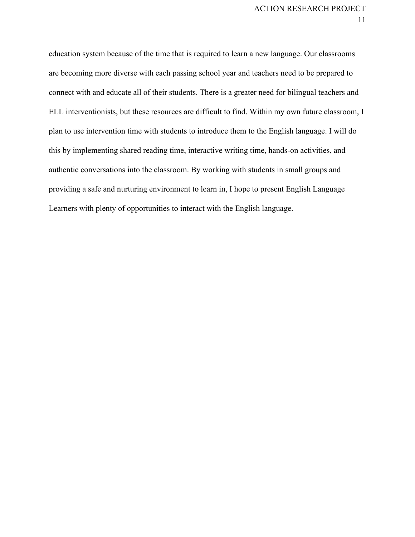education system because of the time that is required to learn a new language. Our classrooms are becoming more diverse with each passing school year and teachers need to be prepared to connect with and educate all of their students. There is a greater need for bilingual teachers and ELL interventionists, but these resources are difficult to find. Within my own future classroom, I plan to use intervention time with students to introduce them to the English language. I will do this by implementing shared reading time, interactive writing time, hands-on activities, and authentic conversations into the classroom. By working with students in small groups and providing a safe and nurturing environment to learn in, I hope to present English Language Learners with plenty of opportunities to interact with the English language.